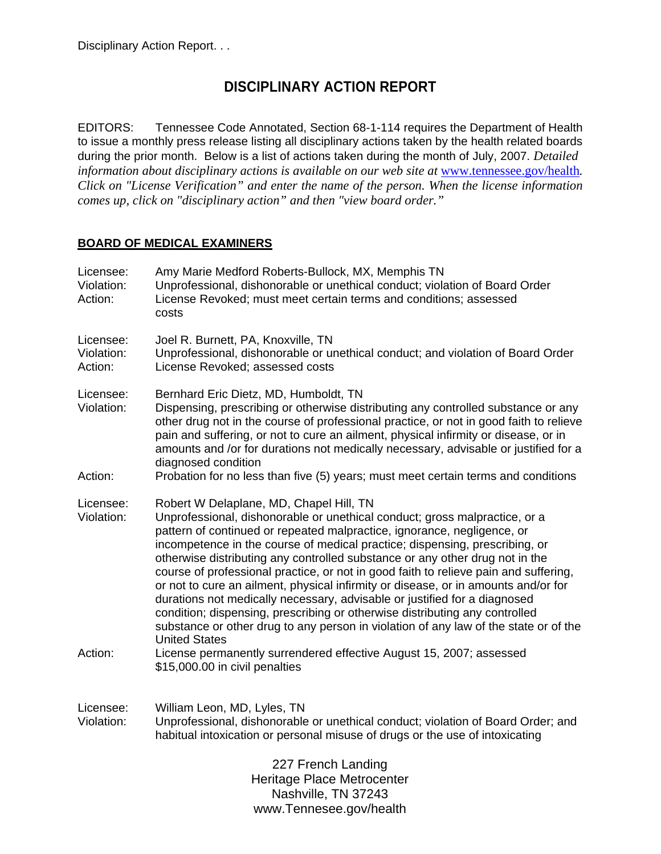# **DISCIPLINARY ACTION REPORT**

EDITORS: Tennessee Code Annotated, Section 68-1-114 requires the Department of Health to issue a monthly press release listing all disciplinary actions taken by the health related boards during the prior month. Below is a list of actions taken during the month of July, 2007. *Detailed information about disciplinary actions is available on our web site at www.tennessee.gov/health. Click on "License Verification" and enter the name of the person. When the license information comes up, click on "disciplinary action" and then "view board order."* 

# **BOARD OF MEDICAL EXAMINERS**

| Licensee:<br>Violation:<br>Action: | Amy Marie Medford Roberts-Bullock, MX, Memphis TN<br>Unprofessional, dishonorable or unethical conduct; violation of Board Order<br>License Revoked; must meet certain terms and conditions; assessed<br>costs                                                                                                                                                                                                                                                                                                                                                                                                                                                                                                                                                                                                                                                                                   |
|------------------------------------|--------------------------------------------------------------------------------------------------------------------------------------------------------------------------------------------------------------------------------------------------------------------------------------------------------------------------------------------------------------------------------------------------------------------------------------------------------------------------------------------------------------------------------------------------------------------------------------------------------------------------------------------------------------------------------------------------------------------------------------------------------------------------------------------------------------------------------------------------------------------------------------------------|
| Licensee:<br>Violation:<br>Action: | Joel R. Burnett, PA, Knoxville, TN<br>Unprofessional, dishonorable or unethical conduct; and violation of Board Order<br>License Revoked; assessed costs                                                                                                                                                                                                                                                                                                                                                                                                                                                                                                                                                                                                                                                                                                                                         |
| Licensee:<br>Violation:            | Bernhard Eric Dietz, MD, Humboldt, TN<br>Dispensing, prescribing or otherwise distributing any controlled substance or any<br>other drug not in the course of professional practice, or not in good faith to relieve<br>pain and suffering, or not to cure an ailment, physical infirmity or disease, or in<br>amounts and /or for durations not medically necessary, advisable or justified for a<br>diagnosed condition                                                                                                                                                                                                                                                                                                                                                                                                                                                                        |
| Action:                            | Probation for no less than five (5) years; must meet certain terms and conditions                                                                                                                                                                                                                                                                                                                                                                                                                                                                                                                                                                                                                                                                                                                                                                                                                |
| Licensee:<br>Violation:<br>Action: | Robert W Delaplane, MD, Chapel Hill, TN<br>Unprofessional, dishonorable or unethical conduct; gross malpractice, or a<br>pattern of continued or repeated malpractice, ignorance, negligence, or<br>incompetence in the course of medical practice; dispensing, prescribing, or<br>otherwise distributing any controlled substance or any other drug not in the<br>course of professional practice, or not in good faith to relieve pain and suffering,<br>or not to cure an ailment, physical infirmity or disease, or in amounts and/or for<br>durations not medically necessary, advisable or justified for a diagnosed<br>condition; dispensing, prescribing or otherwise distributing any controlled<br>substance or other drug to any person in violation of any law of the state or of the<br><b>United States</b><br>License permanently surrendered effective August 15, 2007; assessed |
|                                    | \$15,000.00 in civil penalties                                                                                                                                                                                                                                                                                                                                                                                                                                                                                                                                                                                                                                                                                                                                                                                                                                                                   |
| Licensee:<br>Violation:            | William Leon, MD, Lyles, TN<br>Unprofessional, dishonorable or unethical conduct; violation of Board Order; and<br>habitual intoxication or personal misuse of drugs or the use of intoxicating                                                                                                                                                                                                                                                                                                                                                                                                                                                                                                                                                                                                                                                                                                  |
|                                    | 227 French Landing<br>Heritage Place Metrocenter<br>Nashville, TN 37243<br>www.Tennesee.gov/health                                                                                                                                                                                                                                                                                                                                                                                                                                                                                                                                                                                                                                                                                                                                                                                               |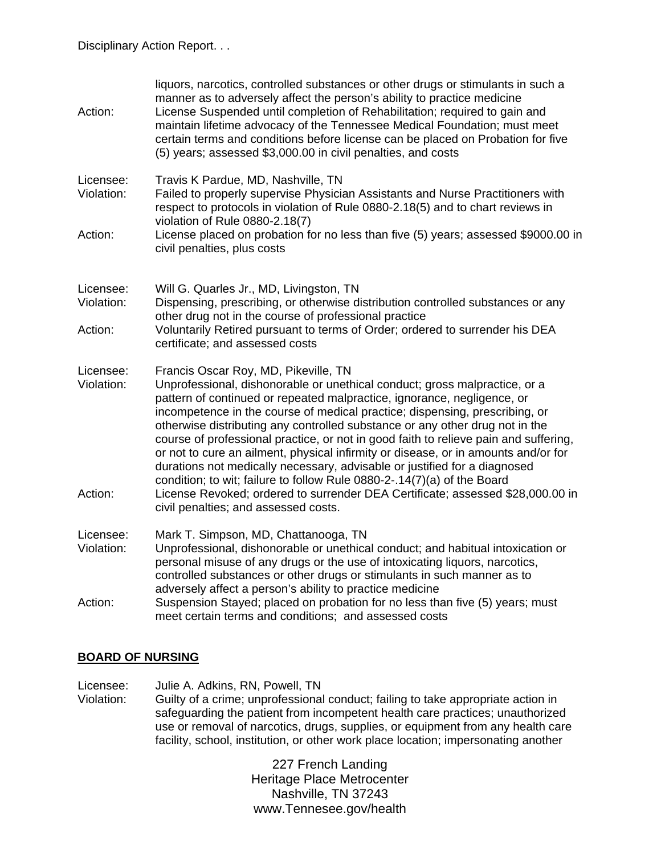| Action:                            | liquors, narcotics, controlled substances or other drugs or stimulants in such a<br>manner as to adversely affect the person's ability to practice medicine<br>License Suspended until completion of Rehabilitation; required to gain and<br>maintain lifetime advocacy of the Tennessee Medical Foundation; must meet<br>certain terms and conditions before license can be placed on Probation for five<br>(5) years; assessed \$3,000.00 in civil penalties, and costs                                                                                                                                                                                                                                                                                                                                                    |
|------------------------------------|------------------------------------------------------------------------------------------------------------------------------------------------------------------------------------------------------------------------------------------------------------------------------------------------------------------------------------------------------------------------------------------------------------------------------------------------------------------------------------------------------------------------------------------------------------------------------------------------------------------------------------------------------------------------------------------------------------------------------------------------------------------------------------------------------------------------------|
| Licensee:<br>Violation:            | Travis K Pardue, MD, Nashville, TN<br>Failed to properly supervise Physician Assistants and Nurse Practitioners with<br>respect to protocols in violation of Rule 0880-2.18(5) and to chart reviews in<br>violation of Rule 0880-2.18(7)                                                                                                                                                                                                                                                                                                                                                                                                                                                                                                                                                                                     |
| Action:                            | License placed on probation for no less than five (5) years; assessed \$9000.00 in<br>civil penalties, plus costs                                                                                                                                                                                                                                                                                                                                                                                                                                                                                                                                                                                                                                                                                                            |
| Licensee:<br>Violation:            | Will G. Quarles Jr., MD, Livingston, TN<br>Dispensing, prescribing, or otherwise distribution controlled substances or any<br>other drug not in the course of professional practice                                                                                                                                                                                                                                                                                                                                                                                                                                                                                                                                                                                                                                          |
| Action:                            | Voluntarily Retired pursuant to terms of Order; ordered to surrender his DEA<br>certificate; and assessed costs                                                                                                                                                                                                                                                                                                                                                                                                                                                                                                                                                                                                                                                                                                              |
| Licensee:<br>Violation:<br>Action: | Francis Oscar Roy, MD, Pikeville, TN<br>Unprofessional, dishonorable or unethical conduct; gross malpractice, or a<br>pattern of continued or repeated malpractice, ignorance, negligence, or<br>incompetence in the course of medical practice; dispensing, prescribing, or<br>otherwise distributing any controlled substance or any other drug not in the<br>course of professional practice, or not in good faith to relieve pain and suffering,<br>or not to cure an ailment, physical infirmity or disease, or in amounts and/or for<br>durations not medically necessary, advisable or justified for a diagnosed<br>condition; to wit; failure to follow Rule 0880-2-.14(7)(a) of the Board<br>License Revoked; ordered to surrender DEA Certificate; assessed \$28,000.00 in<br>civil penalties; and assessed costs. |
| Licensee:<br>Violation:            | Mark T. Simpson, MD, Chattanooga, TN<br>Unprofessional, dishonorable or unethical conduct; and habitual intoxication or<br>personal misuse of any drugs or the use of intoxicating liquors, narcotics,<br>controlled substances or other drugs or stimulants in such manner as to                                                                                                                                                                                                                                                                                                                                                                                                                                                                                                                                            |
| Action:                            | adversely affect a person's ability to practice medicine<br>Suspension Stayed; placed on probation for no less than five (5) years; must<br>meet certain terms and conditions; and assessed costs                                                                                                                                                                                                                                                                                                                                                                                                                                                                                                                                                                                                                            |

#### **BOARD OF NURSING**

Licensee: Julie A. Adkins, RN, Powell, TN

Violation: Guilty of a crime; unprofessional conduct; failing to take appropriate action in safeguarding the patient from incompetent health care practices; unauthorized use or removal of narcotics, drugs, supplies, or equipment from any health care facility, school, institution, or other work place location; impersonating another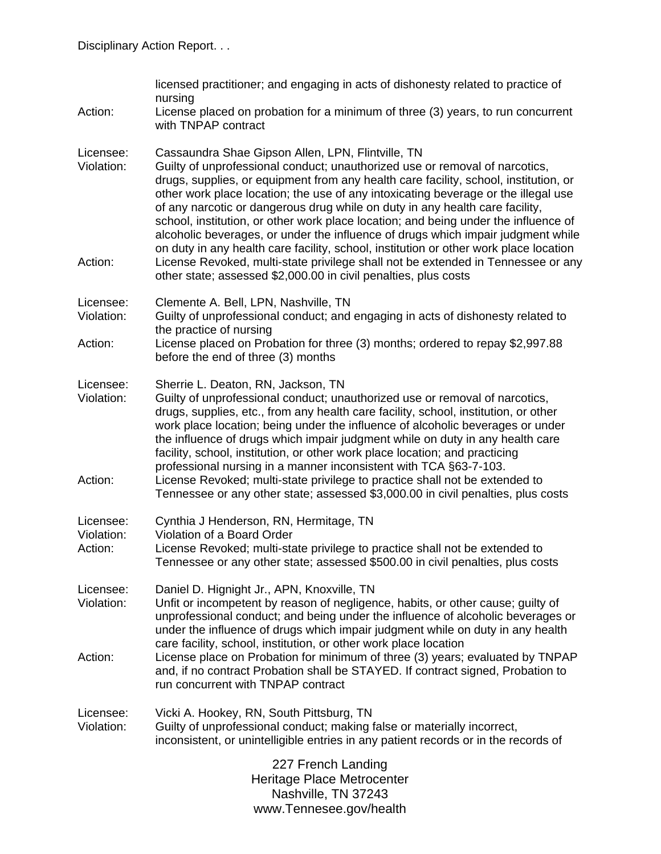| Action:                            | licensed practitioner; and engaging in acts of dishonesty related to practice of<br>nursing<br>License placed on probation for a minimum of three (3) years, to run concurrent<br>with TNPAP contract                                                                                                                                                                                                                                                                                                                                                                                                                                                                                                                                                                                                                     |
|------------------------------------|---------------------------------------------------------------------------------------------------------------------------------------------------------------------------------------------------------------------------------------------------------------------------------------------------------------------------------------------------------------------------------------------------------------------------------------------------------------------------------------------------------------------------------------------------------------------------------------------------------------------------------------------------------------------------------------------------------------------------------------------------------------------------------------------------------------------------|
| Licensee:<br>Violation:<br>Action: | Cassaundra Shae Gipson Allen, LPN, Flintville, TN<br>Guilty of unprofessional conduct; unauthorized use or removal of narcotics,<br>drugs, supplies, or equipment from any health care facility, school, institution, or<br>other work place location; the use of any intoxicating beverage or the illegal use<br>of any narcotic or dangerous drug while on duty in any health care facility,<br>school, institution, or other work place location; and being under the influence of<br>alcoholic beverages, or under the influence of drugs which impair judgment while<br>on duty in any health care facility, school, institution or other work place location<br>License Revoked, multi-state privilege shall not be extended in Tennessee or any<br>other state; assessed \$2,000.00 in civil penalties, plus costs |
| Licensee:                          | Clemente A. Bell, LPN, Nashville, TN                                                                                                                                                                                                                                                                                                                                                                                                                                                                                                                                                                                                                                                                                                                                                                                      |
| Violation:                         | Guilty of unprofessional conduct; and engaging in acts of dishonesty related to<br>the practice of nursing                                                                                                                                                                                                                                                                                                                                                                                                                                                                                                                                                                                                                                                                                                                |
| Action:                            | License placed on Probation for three (3) months; ordered to repay \$2,997.88<br>before the end of three (3) months                                                                                                                                                                                                                                                                                                                                                                                                                                                                                                                                                                                                                                                                                                       |
| Licensee:<br>Violation:            | Sherrie L. Deaton, RN, Jackson, TN<br>Guilty of unprofessional conduct; unauthorized use or removal of narcotics,<br>drugs, supplies, etc., from any health care facility, school, institution, or other<br>work place location; being under the influence of alcoholic beverages or under<br>the influence of drugs which impair judgment while on duty in any health care<br>facility, school, institution, or other work place location; and practicing<br>professional nursing in a manner inconsistent with TCA §63-7-103.                                                                                                                                                                                                                                                                                           |
| Action:                            | License Revoked; multi-state privilege to practice shall not be extended to<br>Tennessee or any other state; assessed \$3,000.00 in civil penalties, plus costs                                                                                                                                                                                                                                                                                                                                                                                                                                                                                                                                                                                                                                                           |
| Licensee:<br>Violation:            | Cynthia J Henderson, RN, Hermitage, TN<br>Violation of a Board Order                                                                                                                                                                                                                                                                                                                                                                                                                                                                                                                                                                                                                                                                                                                                                      |
| Action:                            | License Revoked; multi-state privilege to practice shall not be extended to<br>Tennessee or any other state; assessed \$500.00 in civil penalties, plus costs                                                                                                                                                                                                                                                                                                                                                                                                                                                                                                                                                                                                                                                             |
| Licensee:<br>Violation:            | Daniel D. Hignight Jr., APN, Knoxville, TN<br>Unfit or incompetent by reason of negligence, habits, or other cause; guilty of<br>unprofessional conduct; and being under the influence of alcoholic beverages or<br>under the influence of drugs which impair judgment while on duty in any health                                                                                                                                                                                                                                                                                                                                                                                                                                                                                                                        |
| Action:                            | care facility, school, institution, or other work place location<br>License place on Probation for minimum of three (3) years; evaluated by TNPAP<br>and, if no contract Probation shall be STAYED. If contract signed, Probation to<br>run concurrent with TNPAP contract                                                                                                                                                                                                                                                                                                                                                                                                                                                                                                                                                |
| Licensee:<br>Violation:            | Vicki A. Hookey, RN, South Pittsburg, TN<br>Guilty of unprofessional conduct; making false or materially incorrect,<br>inconsistent, or unintelligible entries in any patient records or in the records of                                                                                                                                                                                                                                                                                                                                                                                                                                                                                                                                                                                                                |
|                                    | 227 French Landing<br>Heritage Place Metrocenter<br>Nashville, TN 37243                                                                                                                                                                                                                                                                                                                                                                                                                                                                                                                                                                                                                                                                                                                                                   |
|                                    | www.Tennesee.gov/health                                                                                                                                                                                                                                                                                                                                                                                                                                                                                                                                                                                                                                                                                                                                                                                                   |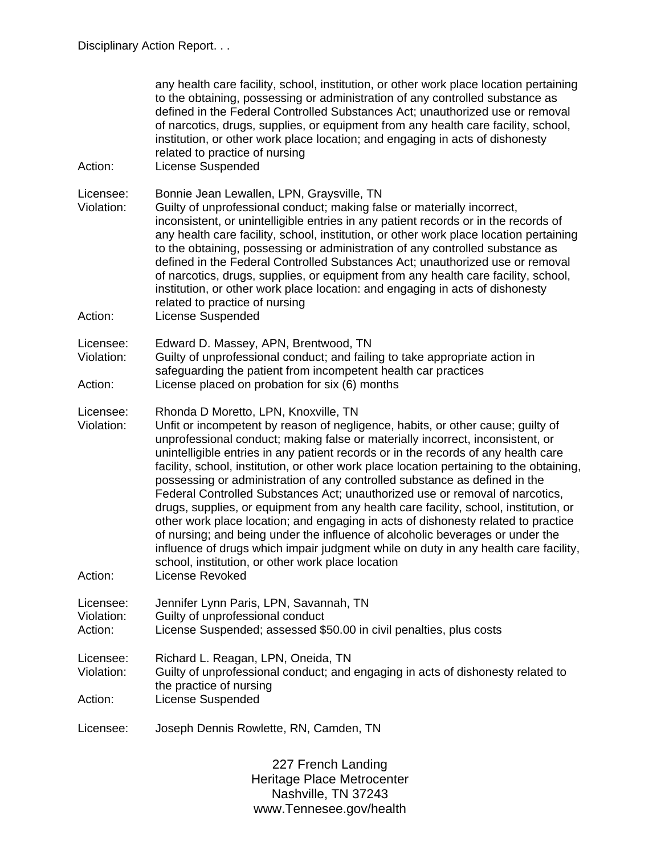| Action:                            | any health care facility, school, institution, or other work place location pertaining<br>to the obtaining, possessing or administration of any controlled substance as<br>defined in the Federal Controlled Substances Act; unauthorized use or removal<br>of narcotics, drugs, supplies, or equipment from any health care facility, school,<br>institution, or other work place location; and engaging in acts of dishonesty<br>related to practice of nursing<br><b>License Suspended</b>                                                                                                                                                                                                                                                                                                                                                                                                                                                                                                 |
|------------------------------------|-----------------------------------------------------------------------------------------------------------------------------------------------------------------------------------------------------------------------------------------------------------------------------------------------------------------------------------------------------------------------------------------------------------------------------------------------------------------------------------------------------------------------------------------------------------------------------------------------------------------------------------------------------------------------------------------------------------------------------------------------------------------------------------------------------------------------------------------------------------------------------------------------------------------------------------------------------------------------------------------------|
| Licensee:<br>Violation:<br>Action: | Bonnie Jean Lewallen, LPN, Graysville, TN<br>Guilty of unprofessional conduct; making false or materially incorrect,<br>inconsistent, or unintelligible entries in any patient records or in the records of<br>any health care facility, school, institution, or other work place location pertaining<br>to the obtaining, possessing or administration of any controlled substance as<br>defined in the Federal Controlled Substances Act; unauthorized use or removal<br>of narcotics, drugs, supplies, or equipment from any health care facility, school,<br>institution, or other work place location: and engaging in acts of dishonesty<br>related to practice of nursing<br><b>License Suspended</b>                                                                                                                                                                                                                                                                                  |
| Licensee:<br>Violation:<br>Action: | Edward D. Massey, APN, Brentwood, TN<br>Guilty of unprofessional conduct; and failing to take appropriate action in<br>safeguarding the patient from incompetent health car practices<br>License placed on probation for six (6) months                                                                                                                                                                                                                                                                                                                                                                                                                                                                                                                                                                                                                                                                                                                                                       |
| Licensee:<br>Violation:<br>Action: | Rhonda D Moretto, LPN, Knoxville, TN<br>Unfit or incompetent by reason of negligence, habits, or other cause; guilty of<br>unprofessional conduct; making false or materially incorrect, inconsistent, or<br>unintelligible entries in any patient records or in the records of any health care<br>facility, school, institution, or other work place location pertaining to the obtaining,<br>possessing or administration of any controlled substance as defined in the<br>Federal Controlled Substances Act; unauthorized use or removal of narcotics,<br>drugs, supplies, or equipment from any health care facility, school, institution, or<br>other work place location; and engaging in acts of dishonesty related to practice<br>of nursing; and being under the influence of alcoholic beverages or under the<br>influence of drugs which impair judgment while on duty in any health care facility,<br>school, institution, or other work place location<br><b>License Revoked</b> |
| Licensee:<br>Violation:<br>Action: | Jennifer Lynn Paris, LPN, Savannah, TN<br>Guilty of unprofessional conduct<br>License Suspended; assessed \$50.00 in civil penalties, plus costs                                                                                                                                                                                                                                                                                                                                                                                                                                                                                                                                                                                                                                                                                                                                                                                                                                              |
| Licensee:<br>Violation:<br>Action: | Richard L. Reagan, LPN, Oneida, TN<br>Guilty of unprofessional conduct; and engaging in acts of dishonesty related to<br>the practice of nursing<br><b>License Suspended</b>                                                                                                                                                                                                                                                                                                                                                                                                                                                                                                                                                                                                                                                                                                                                                                                                                  |
| Licensee:                          | Joseph Dennis Rowlette, RN, Camden, TN                                                                                                                                                                                                                                                                                                                                                                                                                                                                                                                                                                                                                                                                                                                                                                                                                                                                                                                                                        |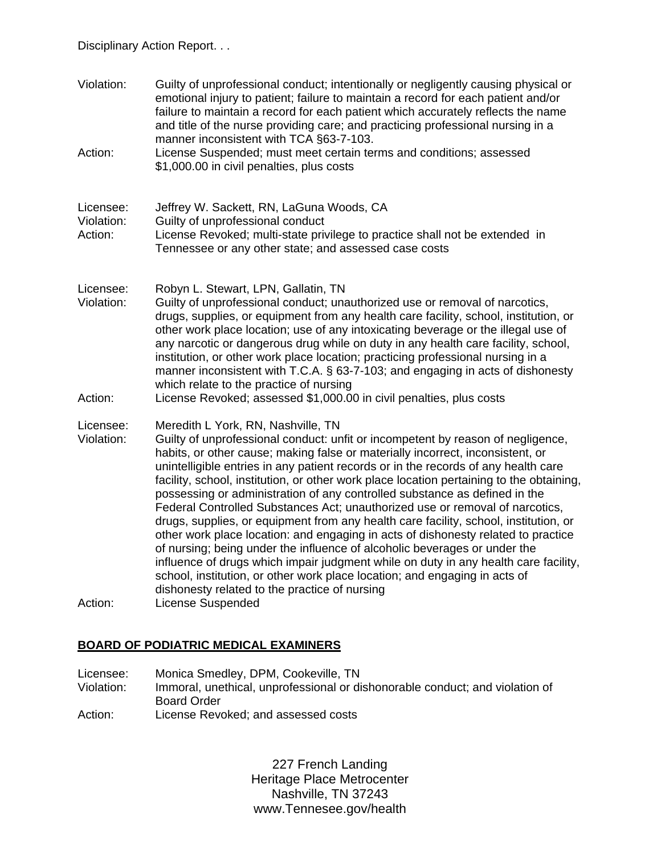Disciplinary Action Report. . .

Violation: Guilty of unprofessional conduct; intentionally or negligently causing physical or emotional injury to patient; failure to maintain a record for each patient and/or failure to maintain a record for each patient which accurately reflects the name and title of the nurse providing care; and practicing professional nursing in a manner inconsistent with TCA §63-7-103. Action: License Suspended; must meet certain terms and conditions; assessed \$1,000.00 in civil penalties, plus costs Licensee: Jeffrey W. Sackett, RN, LaGuna Woods, CA Violation: Guilty of unprofessional conduct Action: License Revoked; multi-state privilege to practice shall not be extended in Tennessee or any other state; and assessed case costs Licensee: Robyn L. Stewart, LPN, Gallatin, TN Violation: Guilty of unprofessional conduct; unauthorized use or removal of narcotics, drugs, supplies, or equipment from any health care facility, school, institution, or other work place location; use of any intoxicating beverage or the illegal use of any narcotic or dangerous drug while on duty in any health care facility, school, institution, or other work place location; practicing professional nursing in a manner inconsistent with T.C.A. § 63-7-103; and engaging in acts of dishonesty which relate to the practice of nursing Action: License Revoked; assessed \$1,000.00 in civil penalties, plus costs Licensee: Meredith L York, RN, Nashville, TN Violation: Guilty of unprofessional conduct: unfit or incompetent by reason of negligence, habits, or other cause; making false or materially incorrect, inconsistent, or unintelligible entries in any patient records or in the records of any health care facility, school, institution, or other work place location pertaining to the obtaining, possessing or administration of any controlled substance as defined in the Federal Controlled Substances Act; unauthorized use or removal of narcotics, drugs, supplies, or equipment from any health care facility, school, institution, or other work place location: and engaging in acts of dishonesty related to practice of nursing; being under the influence of alcoholic beverages or under the influence of drugs which impair judgment while on duty in any health care facility, school, institution, or other work place location; and engaging in acts of dishonesty related to the practice of nursing Action: License Suspended

#### **BOARD OF PODIATRIC MEDICAL EXAMINERS**

Licensee: Monica Smedley, DPM, Cookeville, TN Violation: Immoral, unethical, unprofessional or dishonorable conduct; and violation of Board Order Action: License Revoked; and assessed costs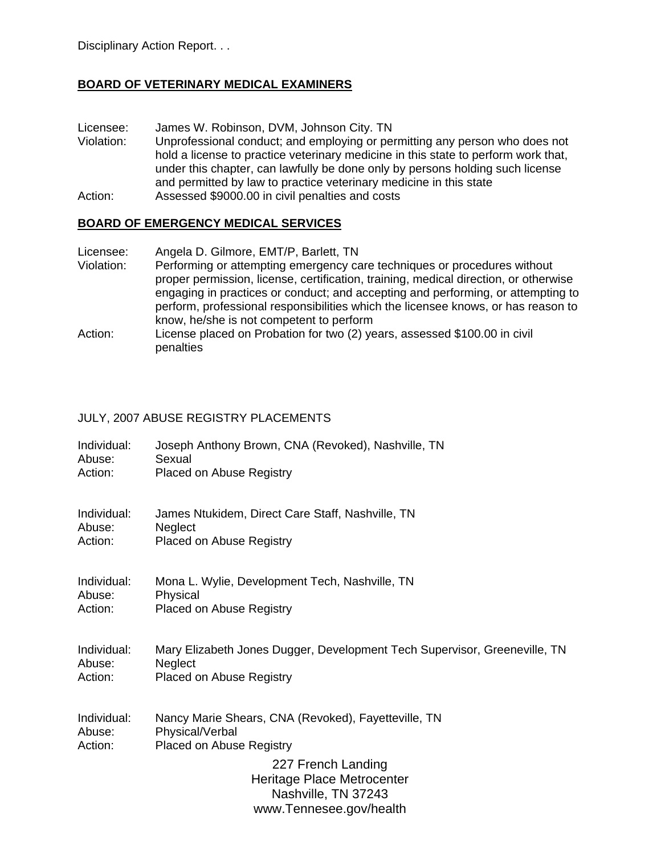## **BOARD OF VETERINARY MEDICAL EXAMINERS**

Licensee: James W. Robinson, DVM, Johnson City. TN

- Violation: Unprofessional conduct; and employing or permitting any person who does not hold a license to practice veterinary medicine in this state to perform work that, under this chapter, can lawfully be done only by persons holding such license and permitted by law to practice veterinary medicine in this state
- Action: Assessed \$9000.00 in civil penalties and costs

## **BOARD OF EMERGENCY MEDICAL SERVICES**

- Licensee: Angela D. Gilmore, EMT/P, Barlett, TN
- Violation: Performing or attempting emergency care techniques or procedures without proper permission, license, certification, training, medical direction, or otherwise engaging in practices or conduct; and accepting and performing, or attempting to perform, professional responsibilities which the licensee knows, or has reason to know, he/she is not competent to perform
- Action: License placed on Probation for two (2) years, assessed \$100.00 in civil penalties

#### JULY, 2007 ABUSE REGISTRY PLACEMENTS

- Individual: Joseph Anthony Brown, CNA (Revoked), Nashville, TN Abuse: Sexual
- Action: Placed on Abuse Registry
- Individual: James Ntukidem, Direct Care Staff, Nashville, TN Abuse: Neglect Action: Placed on Abuse Registry
- Individual: Mona L. Wylie, Development Tech, Nashville, TN Abuse: Physical Action: Placed on Abuse Registry
- Individual: Mary Elizabeth Jones Dugger, Development Tech Supervisor, Greeneville, TN Abuse: Neglect Action: Placed on Abuse Registry
- Individual: Nancy Marie Shears, CNA (Revoked), Fayetteville, TN Abuse: Physical/Verbal Action: Placed on Abuse Registry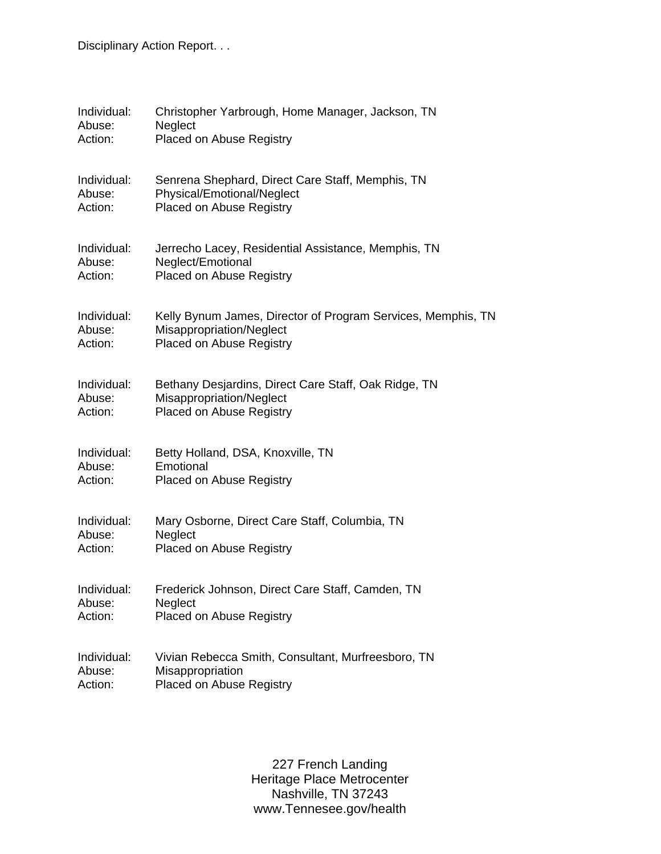Disciplinary Action Report. . .

| Individual: | Christopher Yarbrough, Home Manager, Jackson, TN             |
|-------------|--------------------------------------------------------------|
| Abuse:      | Neglect                                                      |
| Action:     | Placed on Abuse Registry                                     |
| Individual: | Senrena Shephard, Direct Care Staff, Memphis, TN             |
| Abuse:      | Physical/Emotional/Neglect                                   |
| Action:     | Placed on Abuse Registry                                     |
| Individual: | Jerrecho Lacey, Residential Assistance, Memphis, TN          |
| Abuse:      | Neglect/Emotional                                            |
| Action:     | Placed on Abuse Registry                                     |
| Individual: | Kelly Bynum James, Director of Program Services, Memphis, TN |
| Abuse:      | Misappropriation/Neglect                                     |
| Action:     | Placed on Abuse Registry                                     |
| Individual: | Bethany Desjardins, Direct Care Staff, Oak Ridge, TN         |
| Abuse:      | Misappropriation/Neglect                                     |
| Action:     | Placed on Abuse Registry                                     |
| Individual: | Betty Holland, DSA, Knoxville, TN                            |
| Abuse:      | Emotional                                                    |
| Action:     | Placed on Abuse Registry                                     |
| Individual: | Mary Osborne, Direct Care Staff, Columbia, TN                |
| Abuse:      | Neglect                                                      |
| Action:     | <b>Placed on Abuse Registry</b>                              |
| Individual: | Frederick Johnson, Direct Care Staff, Camden, TN             |
| Abuse:      | Neglect                                                      |
| Action:     | Placed on Abuse Registry                                     |
| Individual: | Vivian Rebecca Smith, Consultant, Murfreesboro, TN           |
| Abuse:      | Misappropriation                                             |
| Action:     | Placed on Abuse Registry                                     |

227 French Landing ritage Place Metrocent Nashville, TN 37247 www.Tennesee.gov/health 227 French Landing Heritage Place Metrocenter Nashville, TN 37243